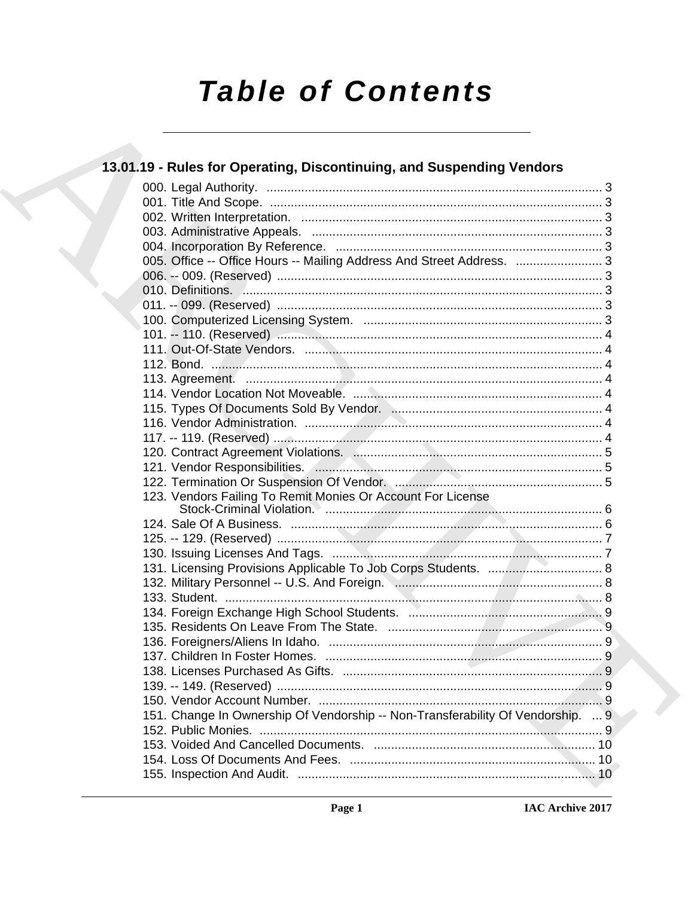# **Table of Contents**

## 13.01.19 - Rules for Operating, Discontinuing, and Suspending Vendors

|  | 005. Office -- Office Hours -- Mailing Address And Street Address.  3           |  |
|--|---------------------------------------------------------------------------------|--|
|  |                                                                                 |  |
|  |                                                                                 |  |
|  |                                                                                 |  |
|  |                                                                                 |  |
|  |                                                                                 |  |
|  |                                                                                 |  |
|  |                                                                                 |  |
|  |                                                                                 |  |
|  |                                                                                 |  |
|  |                                                                                 |  |
|  |                                                                                 |  |
|  |                                                                                 |  |
|  |                                                                                 |  |
|  |                                                                                 |  |
|  |                                                                                 |  |
|  | 123. Vendors Failing To Remit Monies Or Account For License                     |  |
|  |                                                                                 |  |
|  |                                                                                 |  |
|  |                                                                                 |  |
|  |                                                                                 |  |
|  |                                                                                 |  |
|  |                                                                                 |  |
|  |                                                                                 |  |
|  |                                                                                 |  |
|  |                                                                                 |  |
|  |                                                                                 |  |
|  |                                                                                 |  |
|  | 139. -- 149. (Reserved)                                                         |  |
|  |                                                                                 |  |
|  | 151. Change In Ownership Of Vendorship -- Non-Transferability Of Vendorship.  9 |  |
|  |                                                                                 |  |
|  |                                                                                 |  |
|  |                                                                                 |  |
|  |                                                                                 |  |
|  |                                                                                 |  |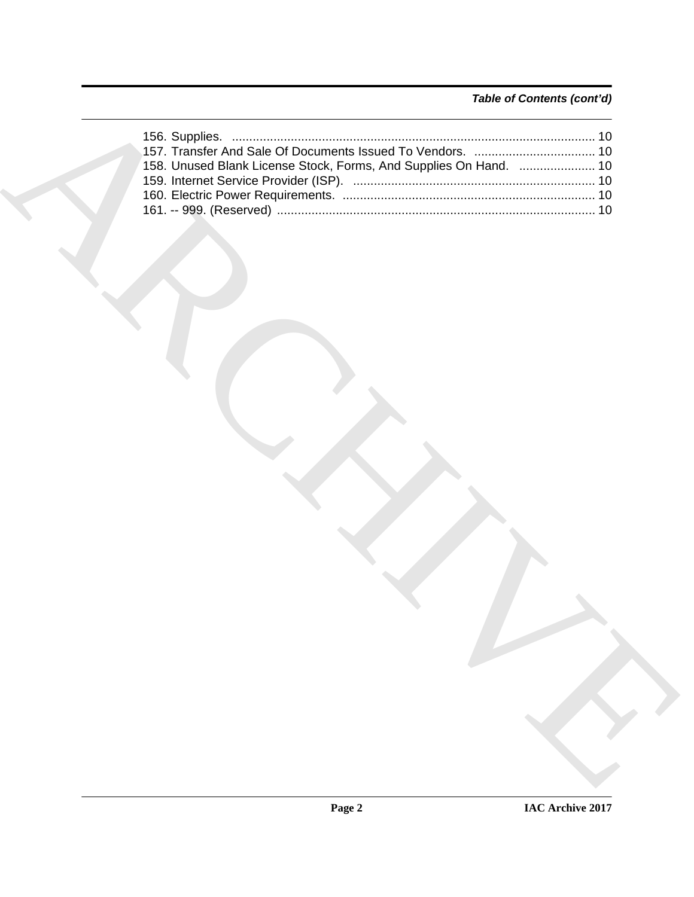### *Table of Contents (cont'd)*

| 158. Unused Blank License Stock, Forms, And Supplies On Hand.  10 | 156. Supplies. |
|-------------------------------------------------------------------|----------------|
|                                                                   |                |
|                                                                   |                |
|                                                                   |                |
|                                                                   |                |
|                                                                   |                |
|                                                                   |                |
|                                                                   |                |
|                                                                   |                |
|                                                                   |                |
|                                                                   |                |
|                                                                   |                |
|                                                                   |                |
|                                                                   |                |
|                                                                   |                |
|                                                                   |                |
|                                                                   |                |
|                                                                   |                |
|                                                                   |                |
|                                                                   |                |
|                                                                   |                |
|                                                                   |                |
|                                                                   |                |
|                                                                   |                |
|                                                                   |                |
|                                                                   |                |
|                                                                   |                |
|                                                                   |                |
|                                                                   |                |
|                                                                   |                |
|                                                                   |                |
|                                                                   |                |
|                                                                   |                |
|                                                                   |                |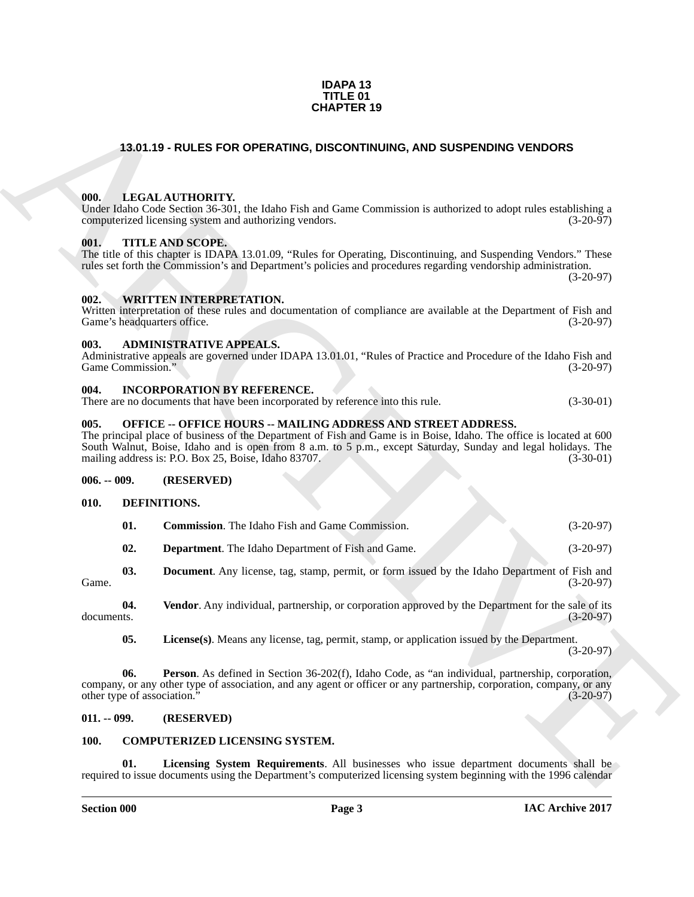#### **IDAPA 13 TITLE 01 CHAPTER 19**

### <span id="page-2-0"></span>**13.01.19 - RULES FOR OPERATING, DISCONTINUING, AND SUSPENDING VENDORS**

#### <span id="page-2-1"></span>**000. LEGAL AUTHORITY.**

Under Idaho Code Section 36-301, the Idaho Fish and Game Commission is authorized to adopt rules establishing a computerized licensing system and authorizing vendors. (3-20-97)

#### <span id="page-2-2"></span>**001. TITLE AND SCOPE.**

The title of this chapter is IDAPA 13.01.09, "Rules for Operating, Discontinuing, and Suspending Vendors." These rules set forth the Commission's and Department's policies and procedures regarding vendorship administration.

(3-20-97)

#### <span id="page-2-3"></span>**002. WRITTEN INTERPRETATION.**

Written interpretation of these rules and documentation of compliance are available at the Department of Fish and Game's headquarters office. (3-20-97) Game's headquarters office.

#### <span id="page-2-4"></span>**003. ADMINISTRATIVE APPEALS.**

Administrative appeals are governed under IDAPA 13.01.01, "Rules of Practice and Procedure of the Idaho Fish and Game Commission." (3-20-97)

#### <span id="page-2-5"></span>**004. INCORPORATION BY REFERENCE.**

There are no documents that have been incorporated by reference into this rule. (3-30-01)

#### <span id="page-2-6"></span>**005. OFFICE -- OFFICE HOURS -- MAILING ADDRESS AND STREET ADDRESS.**

**CHAPTER 19**<br> **CHAPTER 19**<br> **CHAPTER TOR OPERATING, DISCONTINUING, AND SUSPENDING VENDORS**<br> **CHAPTER TOR CONTINUING**<br> **CHAPTER TORIC CONTINUING**<br> **CHAPTER TORIC CONTINUING**<br> **CHAPTER TORIC CONTINUING**<br> **CHAPTER TORIC CONT** The principal place of business of the Department of Fish and Game is in Boise, Idaho. The office is located at 600 South Walnut, Boise, Idaho and is open from 8 a.m. to 5 p.m., except Saturday, Sunday and legal holidays. The mailing address is: P.O. Box 25, Boise, Idaho 83707. (3-30-01) mailing address is: P.O. Box 25, Boise, Idaho 83707.

#### <span id="page-2-7"></span>**006. -- 009. (RESERVED)**

#### <span id="page-2-8"></span>**010. DEFINITIONS.**

<span id="page-2-16"></span><span id="page-2-15"></span><span id="page-2-14"></span><span id="page-2-13"></span>

| 01. | <b>Commission.</b> The Idaho Fish and Game Commission. | $(3-20-97)$ |
|-----|--------------------------------------------------------|-------------|
|     |                                                        |             |

**02. Department**. The Idaho Department of Fish and Game. (3-20-97)

**03. Document**. Any license, tag, stamp, permit, or form issued by the Idaho Department of Fish and (3-20-97) Game. (3-20-97)

**04.** Vendor. Any individual, partnership, or corporation approved by the Department for the sale of its documents. (3-20-97) documents. (3-20-97)

<span id="page-2-19"></span><span id="page-2-18"></span><span id="page-2-17"></span>**05. License(s)**. Means any license, tag, permit, stamp, or application issued by the Department. (3-20-97)

**06. Person**. As defined in Section 36-202(f), Idaho Code, as "an individual, partnership, corporation, company, or any other type of association, and any agent or officer or any partnership, corporation, company, or any other type of association." (3-20-97) other type of association."

### <span id="page-2-9"></span>**011. -- 099. (RESERVED)**

#### <span id="page-2-12"></span><span id="page-2-11"></span><span id="page-2-10"></span>**100. COMPUTERIZED LICENSING SYSTEM.**

**01. Licensing System Requirements**. All businesses who issue department documents shall be required to issue documents using the Department's computerized licensing system beginning with the 1996 calendar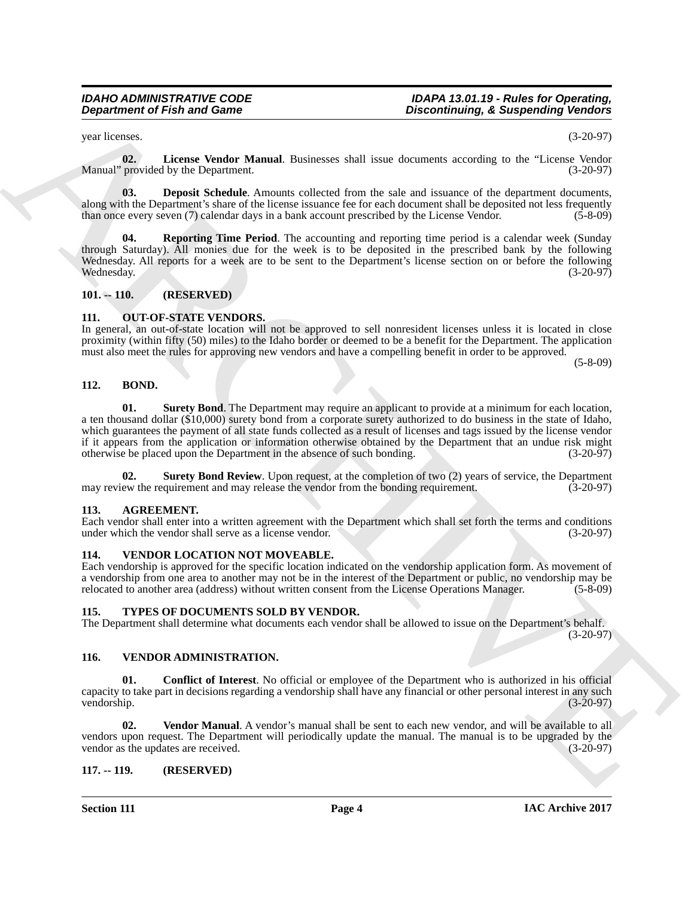year licenses. (3-20-97)

<span id="page-3-13"></span>**02. License Vendor Manual**. Businesses shall issue documents according to the "License Vendor Manual" provided by the Department. (3-20-97)

<span id="page-3-12"></span>**03. Deposit Schedule**. Amounts collected from the sale and issuance of the department documents, along with the Department's share of the license issuance fee for each document shall be deposited not less frequently than once every seven (7) calendar days in a bank account prescribed by the License Vendor.  $(5-8-09)$ 

<span id="page-3-14"></span>**Reporting Time Period.** The accounting and reporting time period is a calendar week (Sunday through Saturday). All monies due for the week is to be deposited in the prescribed bank by the following Wednesday. All reports for a week are to be sent to the Department's license section on or before the following Wednesday. (3-20-97)

#### <span id="page-3-0"></span>**101. -- 110. (RESERVED)**

#### <span id="page-3-15"></span><span id="page-3-1"></span>**111. OUT-OF-STATE VENDORS.**

In general, an out-of-state location will not be approved to sell nonresident licenses unless it is located in close proximity (within fifty (50) miles) to the Idaho border or deemed to be a benefit for the Department. The application must also meet the rules for approving new vendors and have a compelling benefit in order to be approved.

(5-8-09)

#### <span id="page-3-10"></span><span id="page-3-9"></span><span id="page-3-2"></span>**112. BOND.**

**Department of Frish and Game<br>
System Memorial theoretical and System Memorial theoretical and the content anomaly to re- 1.6 Secondary<br>
Manufacture (E. All these Vender Manual, theoretical term the state and sometime to 01. Surety Bond**. The Department may require an applicant to provide at a minimum for each location, a ten thousand dollar (\$10,000) surety bond from a corporate surety authorized to do business in the state of Idaho, which guarantees the payment of all state funds collected as a result of licenses and tags issued by the license vendor if it appears from the application or information otherwise obtained by the Department that an undue risk might otherwise be placed upon the Department in the absence of such bonding. (3-20-97) otherwise be placed upon the Department in the absence of such bonding.

<span id="page-3-11"></span>**02. Surety Bond Review**. Upon request, at the completion of two (2) years of service, the Department ew the requirement and may release the vendor from the bonding requirement. (3-20-97) may review the requirement and may release the vendor from the bonding requirement.

#### <span id="page-3-8"></span><span id="page-3-3"></span>**113. AGREEMENT.**

Each vendor shall enter into a written agreement with the Department which shall set forth the terms and conditions under which the vendor shall serve as a license vendor. (3-20-97) under which the vendor shall serve as a license vendor.

#### <span id="page-3-20"></span><span id="page-3-4"></span>**114. VENDOR LOCATION NOT MOVEABLE.**

Each vendorship is approved for the specific location indicated on the vendorship application form. As movement of a vendorship from one area to another may not be in the interest of the Department or public, no vendorship may be relocated to another area (address) without written consent from the License Operations Manager. (5-8-09)

#### <span id="page-3-16"></span><span id="page-3-5"></span>**115. TYPES OF DOCUMENTS SOLD BY VENDOR.**

The Department shall determine what documents each vendor shall be allowed to issue on the Department's behalf. (3-20-97)

#### <span id="page-3-17"></span><span id="page-3-6"></span>**116. VENDOR ADMINISTRATION.**

<span id="page-3-18"></span>**01. Conflict of Interest**. No official or employee of the Department who is authorized in his official capacity to take part in decisions regarding a vendorship shall have any financial or other personal interest in any such vendorship. (3-20-97) vendorship. (3-20-97)

<span id="page-3-19"></span>**02. Vendor Manual**. A vendor's manual shall be sent to each new vendor, and will be available to all vendors upon request. The Department will periodically update the manual. The manual is to be upgraded by the vendor as the updates are received. (3-20-97) vendor as the updates are received.

#### <span id="page-3-7"></span>**117. -- 119. (RESERVED)**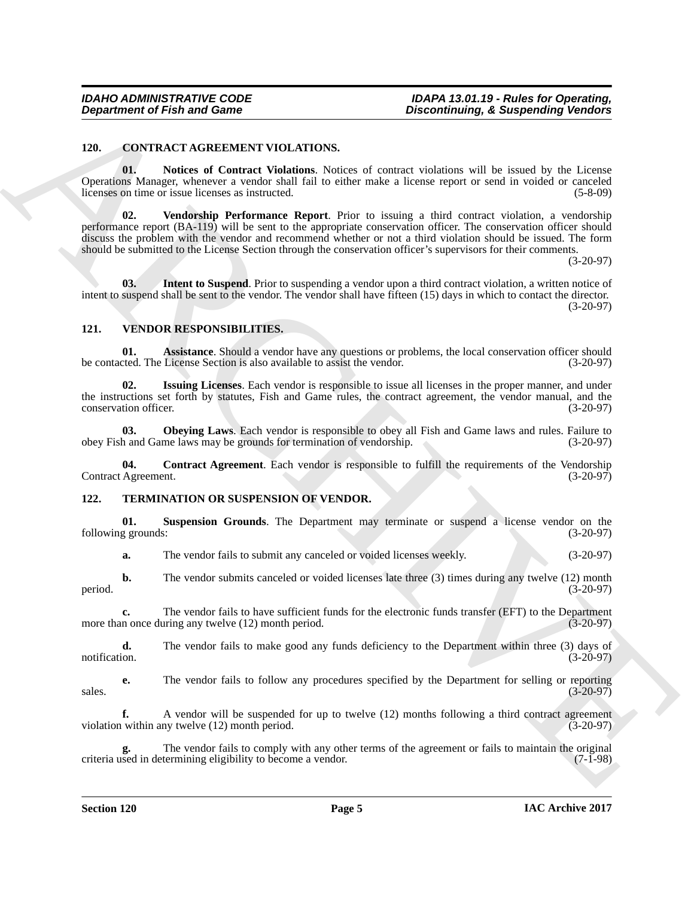#### <span id="page-4-3"></span><span id="page-4-0"></span>**120. CONTRACT AGREEMENT VIOLATIONS.**

<span id="page-4-6"></span><span id="page-4-5"></span>**01. Notices of Contract Violations**. Notices of contract violations will be issued by the License Operations Manager, whenever a vendor shall fail to either make a license report or send in voided or canceled licenses on time or issue licenses as instructed. (5-8-09)

**Department of Fish and Game**<br>
2D. CONTRACTA VIOLATIONS.<br>
2D. CONTRACTA VIOLATIONS.<br>
2D. Notice of Contract Violations, Notice of enters violations will be shored by the License<br>
2D. Notice of Contract Violations, Notice **02. Vendorship Performance Report**. Prior to issuing a third contract violation, a vendorship performance report (BA-119) will be sent to the appropriate conservation officer. The conservation officer should discuss the problem with the vendor and recommend whether or not a third violation should be issued. The form should be submitted to the License Section through the conservation officer's supervisors for their comments.

(3-20-97)

<span id="page-4-4"></span>**03.** Intent to Suspend. Prior to suspending a vendor upon a third contract violation, a written notice of intent to suspend shall be sent to the vendor. The vendor shall have fifteen (15) days in which to contact the director. (3-20-97)

#### <span id="page-4-9"></span><span id="page-4-1"></span>**121. VENDOR RESPONSIBILITIES.**

<span id="page-4-10"></span>**01. Assistance**. Should a vendor have any questions or problems, the local conservation officer should cted. The License Section is also available to assist the vendor. (3-20-97) be contacted. The License Section is also available to assist the vendor.

<span id="page-4-12"></span>**02. Issuing Licenses**. Each vendor is responsible to issue all licenses in the proper manner, and under the instructions set forth by statutes, Fish and Game rules, the contract agreement, the vendor manual, and the conservation officer. (3-20-97) conservation officer.

<span id="page-4-13"></span>**03. Obeying Laws**. Each vendor is responsible to obey all Fish and Game laws and rules. Failure to h and Game laws may be grounds for termination of vendorship. (3-20-97) obey Fish and Game laws may be grounds for termination of vendorship.

<span id="page-4-11"></span>**04.** Contract Agreement. Each vendor is responsible to fulfill the requirements of the Vendorship Agreement. (3-20-97) Contract Agreement.

#### <span id="page-4-7"></span><span id="page-4-2"></span>**122. TERMINATION OR SUSPENSION OF VENDOR.**

**01.** Suspension Grounds. The Department may terminate or suspend a license vendor on the g grounds: (3-20-97) following grounds:

<span id="page-4-8"></span>**a.** The vendor fails to submit any canceled or voided licenses weekly. (3-20-97)

**b.** The vendor submits canceled or voided licenses late three (3) times during any twelve (12) month (3-20-97) period.  $(3-20-97)$ 

**c.** The vendor fails to have sufficient funds for the electronic funds transfer (EFT) to the Department in once during any twelve (12) month period. (3-20-97) more than once during any twelve  $(12)$  month period.

**d.** The vendor fails to make good any funds deficiency to the Department within three (3) days of notification. (3-20-97) notification.  $(3-20-97)$ 

**e.** The vendor fails to follow any procedures specified by the Department for selling or reporting (3-20-97)  $s$ sales.  $(3-20-97)$ 

**f.** A vendor will be suspended for up to twelve (12) months following a third contract agreement violation within any twelve  $(12)$  month period.

The vendor fails to comply with any other terms of the agreement or fails to maintain the original termining eligibility to become a vendor. (7-1-98) criteria used in determining eligibility to become a vendor.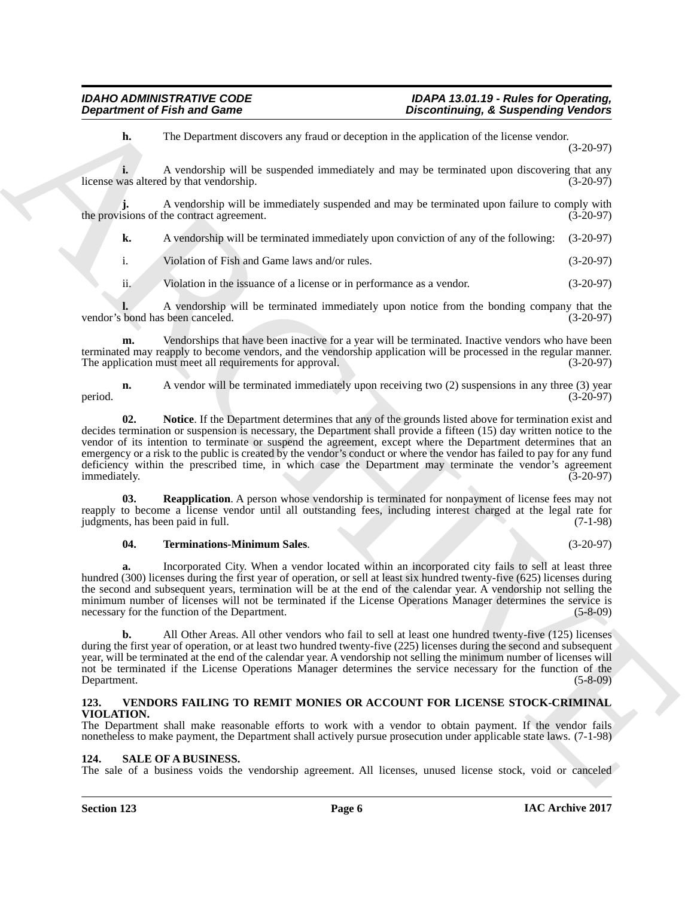**h.** The Department discovers any fraud or deception in the application of the license vendor. (3-20-97)

**i.** A vendorship will be suspended immediately and may be terminated upon discovering that any vas altered by that vendorship. (3-20-97) license was altered by that vendorship.

A vendorship will be immediately suspended and may be terminated upon failure to comply with the contract agreement. (3-20-97) the provisions of the contract agreement.

**k.** A vendorship will be terminated immediately upon conviction of any of the following:  $(3-20-97)$ 

i. Violation of Fish and Game laws and/or rules. (3-20-97)

ii. Violation in the issuance of a license or in performance as a vendor. (3-20-97)

**l.** A vendorship will be terminated immediately upon notice from the bonding company that the bond has been canceled. (3-20-97) vendor's bond has been canceled.

**m.** Vendorships that have been inactive for a year will be terminated. Inactive vendors who have been terminated may reapply to become vendors, and the vendorship application will be processed in the regular manner.<br>The application must meet all requirements for approval. (3-20-97) The application must meet all requirements for approval.

<span id="page-5-3"></span>**n.** A vendor will be terminated immediately upon receiving two (2) suspensions in any three (3) year (3-20-97) period. (3-20-97)

**Department of Fish and Game<br>
The Copyright of State and develops and and exploration of the game of the conservation of the Equation of Equation of the Equation of Equation of Equation of Equation of Equation of Equation 02. Notice**. If the Department determines that any of the grounds listed above for termination exist and decides termination or suspension is necessary, the Department shall provide a fifteen (15) day written notice to the vendor of its intention to terminate or suspend the agreement, except where the Department determines that an emergency or a risk to the public is created by the vendor's conduct or where the vendor has failed to pay for any fund deficiency within the prescribed time, in which case the Department may terminate the vendor's agreement immediately. (3-20-97) immediately. (3-20-97)

**Reapplication**. A person whose vendorship is terminated for nonpayment of license fees may not reapply to become a license vendor until all outstanding fees, including interest charged at the legal rate for judgments, has been paid in full. (7-1-98) judgments, has been paid in full.

#### <span id="page-5-5"></span><span id="page-5-4"></span>**04. Terminations-Minimum Sales**. (3-20-97)

**a.** Incorporated City. When a vendor located within an incorporated city fails to sell at least three hundred (300) licenses during the first year of operation, or sell at least six hundred twenty-five (625) licenses during the second and subsequent years, termination will be at the end of the calendar year. A vendorship not selling the minimum number of licenses will not be terminated if the License Operations Manager determines the service is necessary for the function of the Department. (5-8-09)

**b.** All Other Areas. All other vendors who fail to sell at least one hundred twenty-five (125) licenses during the first year of operation, or at least two hundred twenty-five (225) licenses during the second and subsequent year, will be terminated at the end of the calendar year. A vendorship not selling the minimum number of licenses will not be terminated if the License Operations Manager determines the service necessary for the function of the Department. (5-8-09)

### <span id="page-5-6"></span><span id="page-5-0"></span>**123. VENDORS FAILING TO REMIT MONIES OR ACCOUNT FOR LICENSE STOCK-CRIMINAL VIOLATION.**

The Department shall make reasonable efforts to work with a vendor to obtain payment. If the vendor fails nonetheless to make payment, the Department shall actively pursue prosecution under applicable state laws. (7-1-98)

### <span id="page-5-2"></span><span id="page-5-1"></span>**124. SALE OF A BUSINESS.**

The sale of a business voids the vendorship agreement. All licenses, unused license stock, void or canceled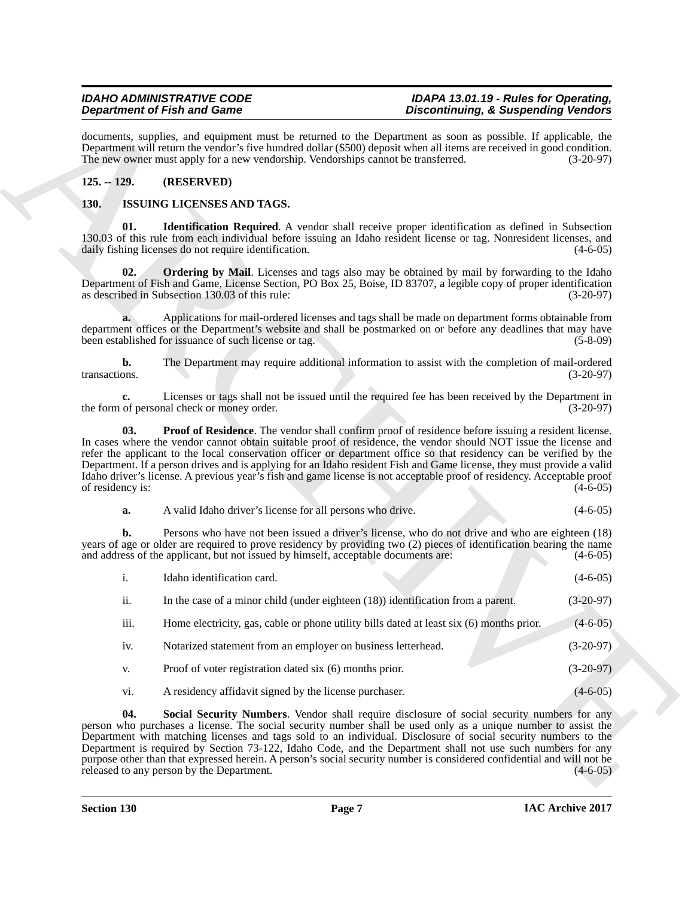### <span id="page-6-0"></span>**125. -- 129. (RESERVED)**

### <span id="page-6-6"></span><span id="page-6-5"></span><span id="page-6-4"></span><span id="page-6-3"></span><span id="page-6-2"></span><span id="page-6-1"></span>**130. ISSUING LICENSES AND TAGS.**

|                         | <b>Department of Fish and Game</b>                                                 | <b>Discontinuing, &amp; Suspending Vendors</b>                                                                                                                                                                                                                                                                                                                                                                                                                                                                                                                                                           |             |
|-------------------------|------------------------------------------------------------------------------------|----------------------------------------------------------------------------------------------------------------------------------------------------------------------------------------------------------------------------------------------------------------------------------------------------------------------------------------------------------------------------------------------------------------------------------------------------------------------------------------------------------------------------------------------------------------------------------------------------------|-------------|
|                         | The new owner must apply for a new vendorship. Vendorships cannot be transferred.  | documents, supplies, and equipment must be returned to the Department as soon as possible. If applicable, the<br>Department will return the vendor's five hundred dollar (\$500) deposit when all items are received in good condition.                                                                                                                                                                                                                                                                                                                                                                  | $(3-20-97)$ |
| $125. - 129.$           | (RESERVED)                                                                         |                                                                                                                                                                                                                                                                                                                                                                                                                                                                                                                                                                                                          |             |
| <b>130.</b>             | ISSUING LICENSES AND TAGS.                                                         |                                                                                                                                                                                                                                                                                                                                                                                                                                                                                                                                                                                                          |             |
| 01.                     | daily fishing licenses do not require identification.                              | <b>Identification Required.</b> A vendor shall receive proper identification as defined in Subsection<br>130.03 of this rule from each individual before issuing an Idaho resident license or tag. Nonresident licenses, and                                                                                                                                                                                                                                                                                                                                                                             | $(4-6-05)$  |
| 02.                     | as described in Subsection 130.03 of this rule:                                    | <b>Ordering by Mail.</b> Licenses and tags also may be obtained by mail by forwarding to the Idaho<br>Department of Fish and Game, License Section, PO Box 25, Boise, ID 83707, a legible copy of proper identification                                                                                                                                                                                                                                                                                                                                                                                  | $(3-20-97)$ |
|                         | been established for issuance of such license or tag.                              | Applications for mail-ordered licenses and tags shall be made on department forms obtainable from<br>department offices or the Department's website and shall be postmarked on or before any deadlines that may have                                                                                                                                                                                                                                                                                                                                                                                     | $(5-8-09)$  |
| b.<br>transactions.     |                                                                                    | The Department may require additional information to assist with the completion of mail-ordered                                                                                                                                                                                                                                                                                                                                                                                                                                                                                                          | $(3-20-97)$ |
| c.                      | the form of personal check or money order.                                         | Licenses or tags shall not be issued until the required fee has been received by the Department in                                                                                                                                                                                                                                                                                                                                                                                                                                                                                                       | $(3-20-97)$ |
| 03.<br>of residency is: |                                                                                    | <b>Proof of Residence</b> . The vendor shall confirm proof of residence before issuing a resident license.<br>In cases where the vendor cannot obtain suitable proof of residence, the vendor should NOT issue the license and<br>refer the applicant to the local conservation officer or department office so that residency can be verified by the<br>Department. If a person drives and is applying for an Idaho resident Fish and Game license, they must provide a valid<br>Idaho driver's license. A previous year's fish and game license is not acceptable proof of residency. Acceptable proof | $(4-6-05)$  |
| a.                      | A valid Idaho driver's license for all persons who drive.                          |                                                                                                                                                                                                                                                                                                                                                                                                                                                                                                                                                                                                          | $(4-6-05)$  |
| b.                      | and address of the applicant, but not issued by himself, acceptable documents are: | Persons who have not been issued a driver's license, who do not drive and who are eighteen (18)<br>years of age or older are required to prove residency by providing two (2) pieces of identification bearing the name                                                                                                                                                                                                                                                                                                                                                                                  | $(4-6-05)$  |
| $\mathbf{i}$ .          | Idaho identification card.                                                         |                                                                                                                                                                                                                                                                                                                                                                                                                                                                                                                                                                                                          | $(4-6-05)$  |
| ii.                     |                                                                                    | In the case of a minor child (under eighteen $(18)$ ) identification from a parent.                                                                                                                                                                                                                                                                                                                                                                                                                                                                                                                      | $(3-20-97)$ |
| iii.                    |                                                                                    | Home electricity, gas, cable or phone utility bills dated at least six (6) months prior.                                                                                                                                                                                                                                                                                                                                                                                                                                                                                                                 | $(4-6-05)$  |
| iv.                     | Notarized statement from an employer on business letterhead.                       |                                                                                                                                                                                                                                                                                                                                                                                                                                                                                                                                                                                                          | $(3-20-97)$ |
| V.                      | Proof of voter registration dated six (6) months prior.                            |                                                                                                                                                                                                                                                                                                                                                                                                                                                                                                                                                                                                          | $(3-20-97)$ |
| vi.                     | A residency affidavit signed by the license purchaser.                             |                                                                                                                                                                                                                                                                                                                                                                                                                                                                                                                                                                                                          | $(4-6-05)$  |
| 04.                     | released to any person by the Department.                                          | Social Security Numbers. Vendor shall require disclosure of social security numbers for any<br>person who purchases a license. The social security number shall be used only as a unique number to assist the<br>Department with matching licenses and tags sold to an individual. Disclosure of social security numbers to the<br>Department is required by Section 73-122, Idaho Code, and the Department shall not use such numbers for any<br>purpose other than that expressed herein. A person's social security number is considered confidential and will not be                                 | $(4-6-05)$  |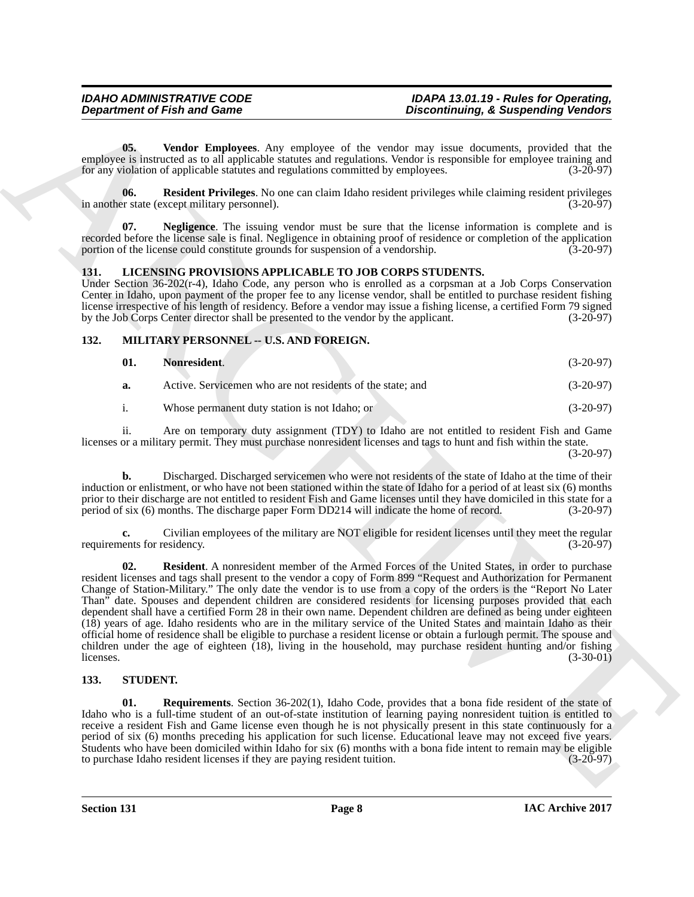<span id="page-7-5"></span>**05. Vendor Employees**. Any employee of the vendor may issue documents, provided that the employee is instructed as to all applicable statutes and regulations. Vendor is responsible for employee training and for any violation of applicable statutes and regulations committed by employees. (3-20-97) for any violation of applicable statutes and regulations committed by employees.

<span id="page-7-4"></span>**06. Resident Privileges**. No one can claim Idaho resident privileges while claiming resident privileges in another state (except military personnel).

<span id="page-7-3"></span>**07. Negligence**. The issuing vendor must be sure that the license information is complete and is recorded before the license sale is final. Negligence in obtaining proof of residence or completion of the application portion of the license could constitute grounds for suspension of a vendorship. (3-20-97)

#### <span id="page-7-6"></span><span id="page-7-0"></span>**131. LICENSING PROVISIONS APPLICABLE TO JOB CORPS STUDENTS.**

Under Section 36-202(r-4), Idaho Code, any person who is enrolled as a corpsman at a Job Corps Conservation Center in Idaho, upon payment of the proper fee to any license vendor, shall be entitled to purchase resident fishing license irrespective of his length of residency. Before a vendor may issue a fishing license, a certified Form 79 signed<br>by the Job Corps Center director shall be presented to the vendor by the applicant. (3-20-97) by the Job Corps Center director shall be presented to the vendor by the applicant.

### <span id="page-7-1"></span>132. MILITARY PERSONNEL -- U.S. AND FOREIGN.

<span id="page-7-8"></span><span id="page-7-7"></span>

|    | Nonresident.                                               | $(3-20-97)$ |
|----|------------------------------------------------------------|-------------|
| а. | Active. Servicemen who are not residents of the state; and | $(3-20-97)$ |
|    | Whose permanent duty station is not Idaho; or              | $(3-20-97)$ |

ii. Are on temporary duty assignment (TDY) to Idaho are not entitled to resident Fish and Game licenses or a military permit. They must purchase nonresident licenses and tags to hunt and fish within the state.

(3-20-97)

**b.** Discharged. Discharged servicemen who were not residents of the state of Idaho at the time of their induction or enlistment, or who have not been stationed within the state of Idaho for a period of at least six (6) months prior to their discharge are not entitled to resident Fish and Game licenses until they have domiciled in this state for a period of six (6) months. The discharge paper Form DD214 will indicate the home of record. (3-20-97)

<span id="page-7-9"></span>**c.** Civilian employees of the military are NOT eligible for resident licenses until they meet the regular ents for residency. (3-20-97) requirements for residency.

**Department of Frish and Game<br>
USE. We<br>also generate the subset of the subset of the subset of the subset of the subset of the subset of the subset of the subset of the subset of the subset of the subset of the subset of 02. Resident**. A nonresident member of the Armed Forces of the United States, in order to purchase resident licenses and tags shall present to the vendor a copy of Form 899 "Request and Authorization for Permanent Change of Station-Military." The only date the vendor is to use from a copy of the orders is the "Report No Later Than" date. Spouses and dependent children are considered residents for licensing purposes provided that each dependent shall have a certified Form 28 in their own name. Dependent children are defined as being under eighteen (18) years of age. Idaho residents who are in the military service of the United States and maintain Idaho as their official home of residence shall be eligible to purchase a resident license or obtain a furlough permit. The spouse and children under the age of eighteen (18), living in the household, may purchase resident hunting and/or fishing  $\blacksquare$ licenses. (3-30-01)

### <span id="page-7-10"></span><span id="page-7-2"></span>**133. STUDENT.**

<span id="page-7-11"></span>**01. Requirements**. Section 36-202(1), Idaho Code, provides that a bona fide resident of the state of Idaho who is a full-time student of an out-of-state institution of learning paying nonresident tuition is entitled to receive a resident Fish and Game license even though he is not physically present in this state continuously for a period of six (6) months preceding his application for such license. Educational leave may not exceed five years. Students who have been domiciled within Idaho for six (6) months with a bona fide intent to remain may be eligible to purchase Idaho resident licenses if they are paying resident tuition. (3-20-97)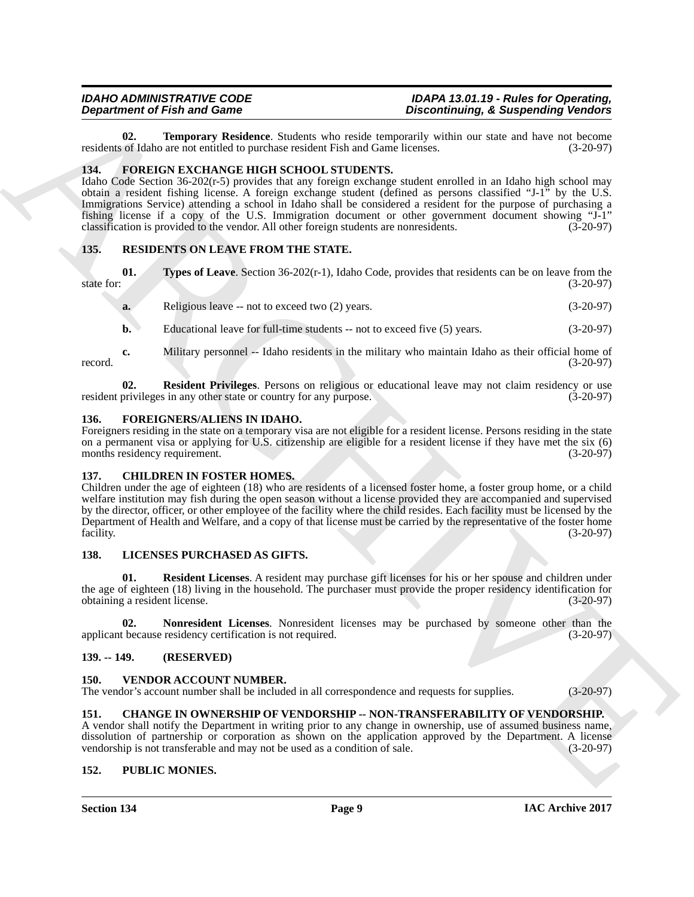<span id="page-8-19"></span>**02. Temporary Residence**. Students who reside temporarily within our state and have not become of Idaho are not entitled to purchase resident Fish and Game licenses. (3-20-97) residents of Idaho are not entitled to purchase resident Fish and Game licenses.

#### <span id="page-8-10"></span><span id="page-8-0"></span>**134. FOREIGN EXCHANGE HIGH SCHOOL STUDENTS.**

Idaho Code Section 36-202(r-5) provides that any foreign exchange student enrolled in an Idaho high school may obtain a resident fishing license. A foreign exchange student (defined as persons classified "J-1" by the U.S. Immigrations Service) attending a school in Idaho shall be considered a resident for the purpose of purchasing a fishing license if a copy of the U.S. Immigration document or other government document showing "J-1" classification is provided to the vendor. All other foreign students are nonresidents. (3-20-97)

#### <span id="page-8-16"></span><span id="page-8-1"></span>**135. RESIDENTS ON LEAVE FROM THE STATE.**

- <span id="page-8-18"></span>**01.** Types of Leave. Section 36-202(r-1), Idaho Code, provides that residents can be on leave from the (3-20-97) state for: (3-20-97)
	- **a.** Religious leave -- not to exceed two (2) years. (3-20-97)
	- **b.** Educational leave for full-time students -- not to exceed five (5) years. (3-20-97)
- **c.** Military personnel -- Idaho residents in the military who maintain Idaho as their official home of (3-20-97) record.  $(3-20-97)$
- <span id="page-8-17"></span>**02.** Resident Privileges. Persons on religious or educational leave may not claim residency or use privileges in any other state or country for any purpose. (3-20-97) resident privileges in any other state or country for any purpose.

#### <span id="page-8-11"></span><span id="page-8-2"></span>**136. FOREIGNERS/ALIENS IN IDAHO.**

Foreigners residing in the state on a temporary visa are not eligible for a resident license. Persons residing in the state on a permanent visa or applying for U.S. citizenship are eligible for a resident license if they have met the six (6) months residency requirement. (3-20-97) months residency requirement.

#### <span id="page-8-9"></span><span id="page-8-3"></span>**137. CHILDREN IN FOSTER HOMES.**

**Department of Finite and Connective Connective Connective Connective Connective Connective Connective Connective Connective Connective Connective Connective Connective Connective Connective Connective Connective Connecti** Children under the age of eighteen (18) who are residents of a licensed foster home, a foster group home, or a child welfare institution may fish during the open season without a license provided they are accompanied and supervised by the director, officer, or other employee of the facility where the child resides. Each facility must be licensed by the Department of Health and Welfare, and a copy of that license must be carried by the representative of the foster home facility. (3-20-97)

#### <span id="page-8-12"></span><span id="page-8-4"></span>**138. LICENSES PURCHASED AS GIFTS.**

<span id="page-8-14"></span>**01. Resident Licenses**. A resident may purchase gift licenses for his or her spouse and children under the age of eighteen (18) living in the household. The purchaser must provide the proper residency identification for obtaining a resident license. (3-20-97) obtaining a resident license.

<span id="page-8-13"></span>**02.** Nonresident Licenses. Nonresident licenses may be purchased by someone other than the the tecause residency certification is not required. (3-20-97) applicant because residency certification is not required.

#### <span id="page-8-5"></span>**139. -- 149. (RESERVED)**

#### <span id="page-8-20"></span><span id="page-8-6"></span>**150. VENDOR ACCOUNT NUMBER.**

The vendor's account number shall be included in all correspondence and requests for supplies. (3-20-97)

#### <span id="page-8-7"></span>**151. CHANGE IN OWNERSHIP OF VENDORSHIP -- NON-TRANSFERABILITY OF VENDORSHIP.**

A vendor shall notify the Department in writing prior to any change in ownership, use of assumed business name, dissolution of partnership or corporation as shown on the application approved by the Department. A license vendorship is not transferable and may not be used as a condition of sale. (3-20-97) vendorship is not transferable and may not be used as a condition of sale.

#### <span id="page-8-15"></span><span id="page-8-8"></span>**152. PUBLIC MONIES.**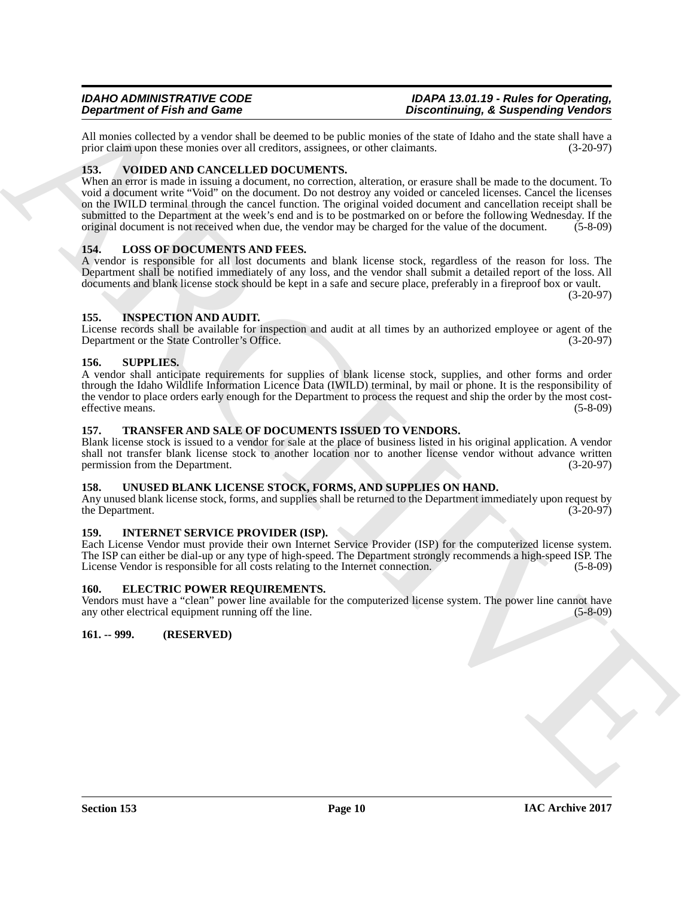All monies collected by a vendor shall be deemed to be public monies of the state of Idaho and the state shall have a prior claim upon these monies over all creditors, assigness, or other claimants. (3-20-97) prior claim upon these monies over all creditors, assignees, or other claimants.

#### <span id="page-9-14"></span><span id="page-9-0"></span>**153. VOIDED AND CANCELLED DOCUMENTS.**

**Dependent of Find and Solarist Correlation Controllers** (*S. B. Supposition*) **Controllers** (*S. B. Supposition*)  $\frac{1}{2}$  (*S. B. Supposition*)  $\frac{1}{2}$  (*S. B. C. C. B. C. C. B. C. C. B. C. C. B. C. C. B. C. C. B. C.* When an error is made in issuing a document, no correction, alteration, or erasure shall be made to the document. To void a document write "Void" on the document. Do not destroy any voided or canceled licenses. Cancel the licenses on the IWILD terminal through the cancel function. The original voided document and cancellation receipt shall be submitted to the Department at the week's end and is to be postmarked on or before the following Wednesday. If the original document is not received when due, the vendor may be charged for the value of the document. (5-8-09)

#### <span id="page-9-10"></span><span id="page-9-1"></span>**154. LOSS OF DOCUMENTS AND FEES.**

A vendor is responsible for all lost documents and blank license stock, regardless of the reason for loss. The Department shall be notified immediately of any loss, and the vendor shall submit a detailed report of the loss. All documents and blank license stock should be kept in a safe and secure place, preferably in a fireproof box or vault. (3-20-97)

<span id="page-9-2"></span>**155. INSPECTION AND AUDIT.**

License records shall be available for inspection and audit at all times by an authorized employee or agent of the Department or the State Controller's Office. (3-20-97)

#### <span id="page-9-11"></span><span id="page-9-3"></span>**156. SUPPLIES.**

A vendor shall anticipate requirements for supplies of blank license stock, supplies, and other forms and order through the Idaho Wildlife Information Licence Data (IWILD) terminal, by mail or phone. It is the responsibility of the vendor to place orders early enough for the Department to process the request and ship the order by the most costeffective means. (5-8-09)

#### <span id="page-9-12"></span><span id="page-9-4"></span>**157. TRANSFER AND SALE OF DOCUMENTS ISSUED TO VENDORS.**

Blank license stock is issued to a vendor for sale at the place of business listed in his original application. A vendor shall not transfer blank license stock to another location nor to another license vendor without advance written<br>permission from the Department. (3-20-97) permission from the Department.

### <span id="page-9-13"></span><span id="page-9-5"></span>**158. UNUSED BLANK LICENSE STOCK, FORMS, AND SUPPLIES ON HAND.**

Any unused blank license stock, forms, and supplies shall be returned to the Department immediately upon request by the Department. (3-20-97) the Department.

#### <span id="page-9-6"></span>**159. INTERNET SERVICE PROVIDER (ISP).**

Each License Vendor must provide their own Internet Service Provider (ISP) for the computerized license system. The ISP can either be dial-up or any type of high-speed. The Department strongly recommends a high-speed ISP. The License Vendor is responsible for all costs relating to the Internet connection. (5-8-09)

#### <span id="page-9-9"></span><span id="page-9-7"></span>**160. ELECTRIC POWER REQUIREMENTS.**

Vendors must have a "clean" power line available for the computerized license system. The power line cannot have any other electrical equipment running off the line. (5-8-09)

### <span id="page-9-8"></span>**161. -- 999. (RESERVED)**